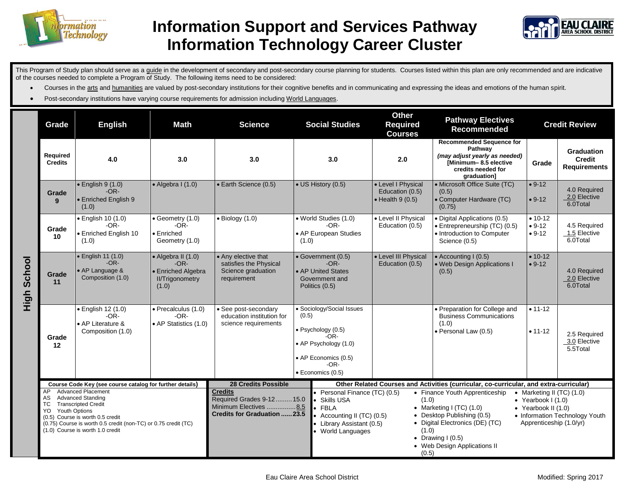

## **Information Support and Services Pathway Information Technology Career Cluster**



This Program of Study plan should serve as a guide in the development of secondary and post-secondary course planning for students. Courses listed within this plan are only recommended and are indicative of the courses needed to complete a Program of Study. The following items need to be considered:

- Courses in the arts and humanities are valued by post-secondary institutions for their cognitive benefits and in communicating and expressing the ideas and emotions of the human spirit.
- Post-secondary institutions have varying course requirements for admission including World Languages.

|                | Grade                                                                                                                                                                                                                                                                                 | <b>English</b>                                                         | <b>Math</b>                                                                                   | <b>Science</b>                                                                                                                              | <b>Social Studies</b>                                                                        |                                                                                                                                                   | <b>Other</b><br><b>Required</b><br><b>Courses</b>                                                                                                                                                                                                                                                                                                            | <b>Pathway Electives</b><br><b>Recommended</b>                                                                                           | <b>Credit Review</b>              |                                                           |
|----------------|---------------------------------------------------------------------------------------------------------------------------------------------------------------------------------------------------------------------------------------------------------------------------------------|------------------------------------------------------------------------|-----------------------------------------------------------------------------------------------|---------------------------------------------------------------------------------------------------------------------------------------------|----------------------------------------------------------------------------------------------|---------------------------------------------------------------------------------------------------------------------------------------------------|--------------------------------------------------------------------------------------------------------------------------------------------------------------------------------------------------------------------------------------------------------------------------------------------------------------------------------------------------------------|------------------------------------------------------------------------------------------------------------------------------------------|-----------------------------------|-----------------------------------------------------------|
|                | Required<br><b>Credits</b>                                                                                                                                                                                                                                                            | 4.0                                                                    | 3.0                                                                                           | 3.0                                                                                                                                         | 3.0                                                                                          |                                                                                                                                                   | 2.0                                                                                                                                                                                                                                                                                                                                                          | <b>Recommended Sequence for</b><br>Pathway<br>(may adjust yearly as needed)<br>Minimum-8.5 elective<br>credits needed for<br>graduation] | Grade                             | <b>Graduation</b><br><b>Credit</b><br><b>Requirements</b> |
| School<br>High | Grade<br>9                                                                                                                                                                                                                                                                            | $\bullet$ English 9 (1.0)<br>$-OR-$<br>• Enriched English 9<br>(1.0)   | $\bullet$ Algebra I (1.0)                                                                     | • Earth Science (0.5)                                                                                                                       | • US History (0.5)                                                                           |                                                                                                                                                   | • Level I Physical<br>Education (0.5)<br>$\bullet$ Health 9 (0.5)                                                                                                                                                                                                                                                                                            | • Microsoft Office Suite (TC)<br>(0.5)<br>• Computer Hardware (TC)<br>(0.75)                                                             | $• 9-12$<br>$• 9-12$              | 4.0 Required<br>2.0 Elective<br>6.0Total                  |
|                | Grade<br>10                                                                                                                                                                                                                                                                           | · English 10 (1.0)<br>$-OR-$<br>· Enriched English 10<br>(1.0)         | $\bullet$ Geometry (1.0)<br>$-OR-$<br>• Enriched<br>Geometry (1.0)                            | $\overline{\bullet}$ Biology (1.0)                                                                                                          | (1.0)                                                                                        | • World Studies (1.0)<br>$-OR-$<br>• AP European Studies                                                                                          | • Level II Physical<br>Education (0.5)                                                                                                                                                                                                                                                                                                                       | • Digital Applications (0.5)<br>• Entrepreneurship (TC) (0.5)<br>• Introduction to Computer<br>Science (0.5)                             | $• 10-12$<br>$• 9-12$<br>$• 9-12$ | 4.5 Required<br>1.5 Elective<br>6.0Total                  |
|                | Grade<br>11                                                                                                                                                                                                                                                                           | • English 11 (1.0)<br>$-OR-$<br>• AP Language &<br>Composition (1.0)   | $\bullet$ Algebra II (1.0)<br>$-OR-$<br>• Enriched Algebra<br><b>II/Trigonometry</b><br>(1.0) | • Any elective that<br>satisfies the Physical<br>Science graduation<br>requirement                                                          | $\bullet$ Government (0.5)<br>$-OR-$<br>AP United States<br>Government and<br>Politics (0.5) |                                                                                                                                                   | • Level III Physical<br>Education (0.5)                                                                                                                                                                                                                                                                                                                      | • Accounting I (0.5)<br>• Web Design Applications I<br>(0.5)                                                                             | $• 10-12$<br>$• 9-12$             | 4.0 Required<br>2.0 Elective<br>6.0Total                  |
|                | Grade<br>$12 \,$                                                                                                                                                                                                                                                                      | · English 12 (1.0)<br>$-OR-$<br>• AP Literature &<br>Composition (1.0) | · Precalculus (1.0)<br>$-OR-$<br>• AP Statistics (1.0)                                        | • See post-secondary<br>education institution for<br>science requirements                                                                   | (0.5)                                                                                        | · Sociology/Social Issues<br>$\bullet$ Psychology (0.5)<br>$-OR-$<br>• AP Psychology (1.0)<br>• AP Economics (0.5)<br>$-OR-$<br>· Economics (0.5) |                                                                                                                                                                                                                                                                                                                                                              | · Preparation for College and<br><b>Business Communications</b><br>(1.0)<br>· Personal Law (0.5)                                         | $• 11 - 12$<br>$• 11 - 12$        | 2.5 Required<br>3.0 Elective<br>5.5Total                  |
|                | Course Code Key (see course catalog for further details)                                                                                                                                                                                                                              |                                                                        |                                                                                               | <b>28 Credits Possible</b>                                                                                                                  |                                                                                              | Other Related Courses and Activities (curricular, co-curricular, and extra-curricular)                                                            |                                                                                                                                                                                                                                                                                                                                                              |                                                                                                                                          |                                   |                                                           |
|                | <b>Advanced Placement</b><br>AP<br><b>Advanced Standing</b><br>AS<br><b>Transcripted Credit</b><br><b>TC</b><br><b>Youth Options</b><br>YO.<br>(0.5) Course is worth 0.5 credit<br>(0.75) Course is worth 0.5 credit (non-TC) or 0.75 credit (TC)<br>(1.0) Course is worth 1.0 credit |                                                                        |                                                                                               | <b>Credits</b><br>Required Grades 9-12 15.0<br><b>Skills USA</b><br>Minimum Electives 8.5<br>$\bullet$ FBLA<br>Credits for Graduation  23.5 |                                                                                              | Personal Finance (TC) (0.5)<br>Accounting II (TC) (0.5)<br>• Library Assistant (0.5)<br>World Languages                                           | • Finance Youth Apprenticeship<br>• Marketing II $(TC)$ $(1.0)$<br>(1.0)<br>• Yearbook $1(1.0)$<br>• Marketing I (TC) $(1.0)$<br>• Yearbook II $(1.0)$<br>• Desktop Publishing (0.5)<br>• Information Technology Youth<br>• Digital Electronics (DE) (TC)<br>Apprenticeship (1.0/yr)<br>(1.0)<br>• Drawing $1(0.5)$<br>• Web Design Applications II<br>(0.5) |                                                                                                                                          |                                   |                                                           |